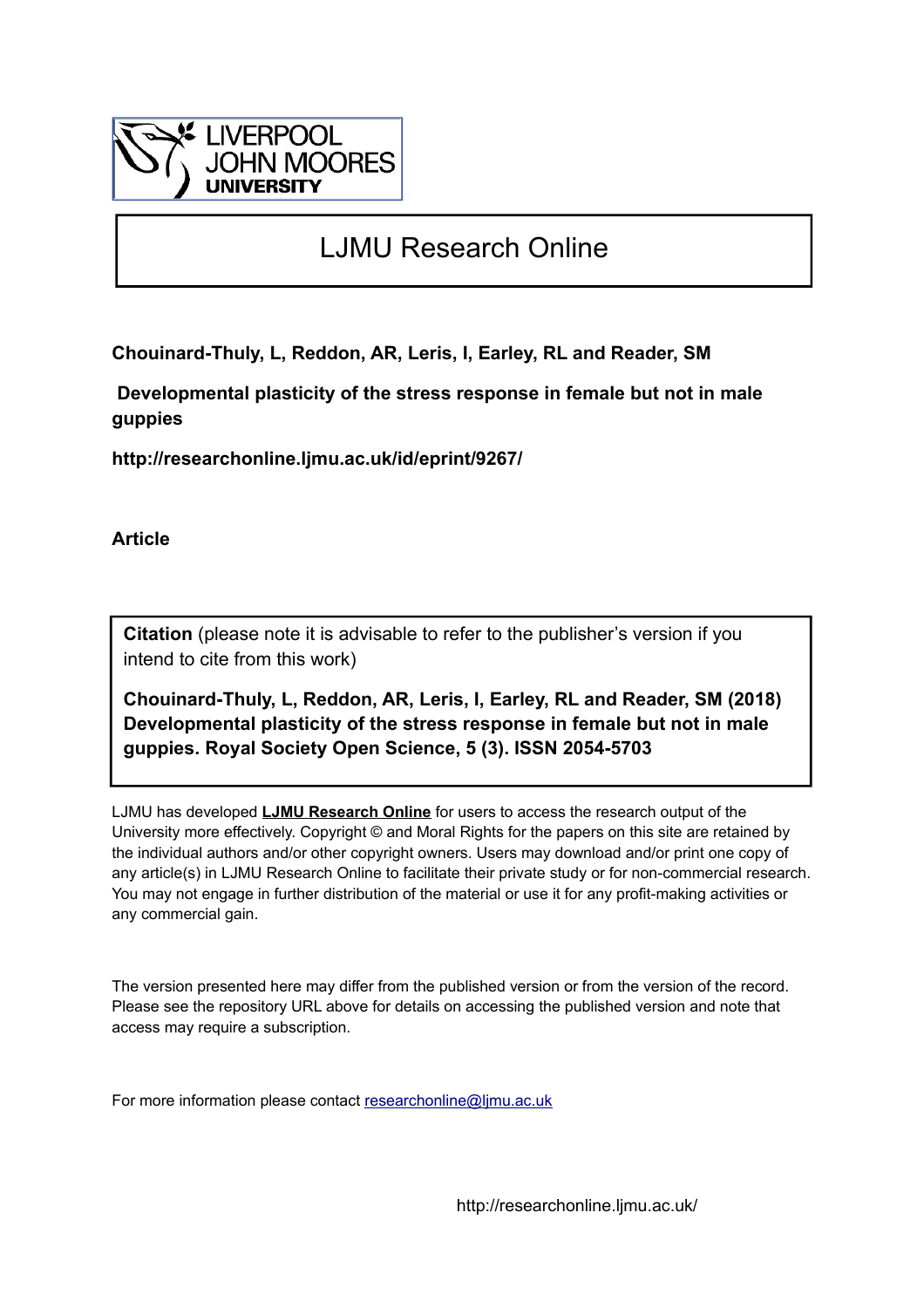

# LJMU Research Online

**Chouinard-Thuly, L, Reddon, AR, Leris, I, Earley, RL and Reader, SM**

 **Developmental plasticity of the stress response in female but not in male guppies**

**http://researchonline.ljmu.ac.uk/id/eprint/9267/**

**Article**

**Citation** (please note it is advisable to refer to the publisher's version if you intend to cite from this work)

**Chouinard-Thuly, L, Reddon, AR, Leris, I, Earley, RL and Reader, SM (2018) Developmental plasticity of the stress response in female but not in male guppies. Royal Society Open Science, 5 (3). ISSN 2054-5703** 

LJMU has developed **[LJMU Research Online](http://researchonline.ljmu.ac.uk/)** for users to access the research output of the University more effectively. Copyright © and Moral Rights for the papers on this site are retained by the individual authors and/or other copyright owners. Users may download and/or print one copy of any article(s) in LJMU Research Online to facilitate their private study or for non-commercial research. You may not engage in further distribution of the material or use it for any profit-making activities or any commercial gain.

The version presented here may differ from the published version or from the version of the record. Please see the repository URL above for details on accessing the published version and note that access may require a subscription.

For more information please contact [researchonline@ljmu.ac.uk](mailto:researchonline@ljmu.ac.uk)

http://researchonline.ljmu.ac.uk/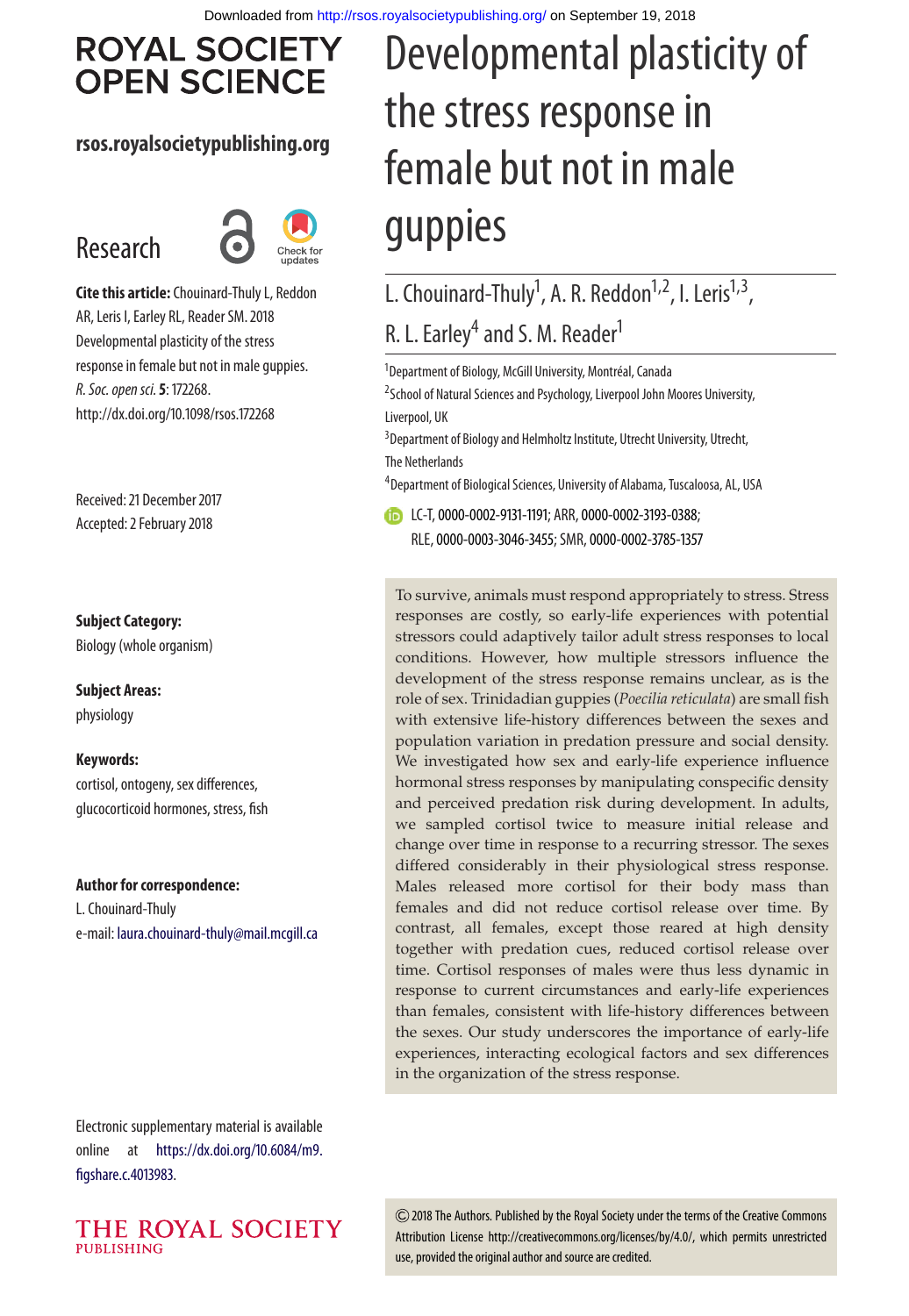# **ROYAL SOCIETY OPEN SCIENCE**

## **rsos.royalsocietypublishing.org**

# Research



**Cite this article:**Chouinard-Thuly L, Reddon AR, Leris I, Earley RL, Reader SM. 2018 Developmental plasticity of the stress response in female but not in male guppies. R. Soc. open sci.**5**: 172268. http://dx.doi.org/10.1098/rsos.172268

Received: 21 December 2017 Accepted: 2 February 2018

**Subject Category:**

Biology (whole organism)

**Subject Areas:** physiology

**Keywords:**

cortisol, ontogeny, sex differences, glucocorticoid hormones, stress, fish

#### **Author for correspondence:**

L. Chouinard-Thuly e-mail: [laura.chouinard-thuly@mail.mcgill.ca](mailto:laura.chouinard-thuly@mail.mcgill.ca)

# Developmental plasticity of the stress response in female but not in male guppies

## L. Chouinard-Thuly<sup>1</sup>, A. R. Reddon<sup>1,2</sup>, I. Leris<sup>1,3</sup>, R. L. Earley<sup>4</sup> and S. M. Reader<sup>1</sup>

<sup>1</sup>Department of Biology, McGill University, Montréal, Canada

<sup>2</sup>School of Natural Sciences and Psychology, Liverpool John Moores University, Liverpool, UK

<sup>3</sup> Department of Biology and Helmholtz Institute, Utrecht University, Utrecht, The Netherlands

4 Department of Biological Sciences, University of Alabama, Tuscaloosa, AL, USA

LC-T, [0000-0002-9131-1191;](http://orcid.org/0000-0002-9131-1191) ARR, [0000-0002-3193-0388;](http://orcid.org/0000-0002-3193-0388) RLE,[0000-0003-3046-3455;](http://orcid.org/0000-0003-3046-3455) SMR,[0000-0002-3785-1357](http://orcid.org/0000-0002-3785-1357)

To survive, animals must respond appropriately to stress. Stress responses are costly, so early-life experiences with potential stressors could adaptively tailor adult stress responses to local conditions. However, how multiple stressors influence the development of the stress response remains unclear, as is the role of sex. Trinidadian guppies (*Poecilia reticulata*) are small fish with extensive life-history differences between the sexes and population variation in predation pressure and social density. We investigated how sex and early-life experience influence hormonal stress responses by manipulating conspecific density and perceived predation risk during development. In adults, we sampled cortisol twice to measure initial release and change over time in response to a recurring stressor. The sexes differed considerably in their physiological stress response. Males released more cortisol for their body mass than females and did not reduce cortisol release over time. By contrast, all females, except those reared at high density together with predation cues, reduced cortisol release over time. Cortisol responses of males were thus less dynamic in response to current circumstances and early-life experiences than females, consistent with life-history differences between the sexes. Our study underscores the importance of early-life experiences, interacting ecological factors and sex differences in the organization of the stress response.

Electronic supplementary material is available online at [https://dx.doi.org/10.6084/m9.](https://dx.doi.org/10.6084/m9.figshare.c.4013983) [figshare.c.4013983.](https://dx.doi.org/10.6084/m9.figshare.c.4013983)



2018 The Authors. Published by the Royal Society under the terms of the Creative Commons Attribution License http://creativecommons.org/licenses/by/4.0/, which permits unrestricted use, provided the original author and source are credited.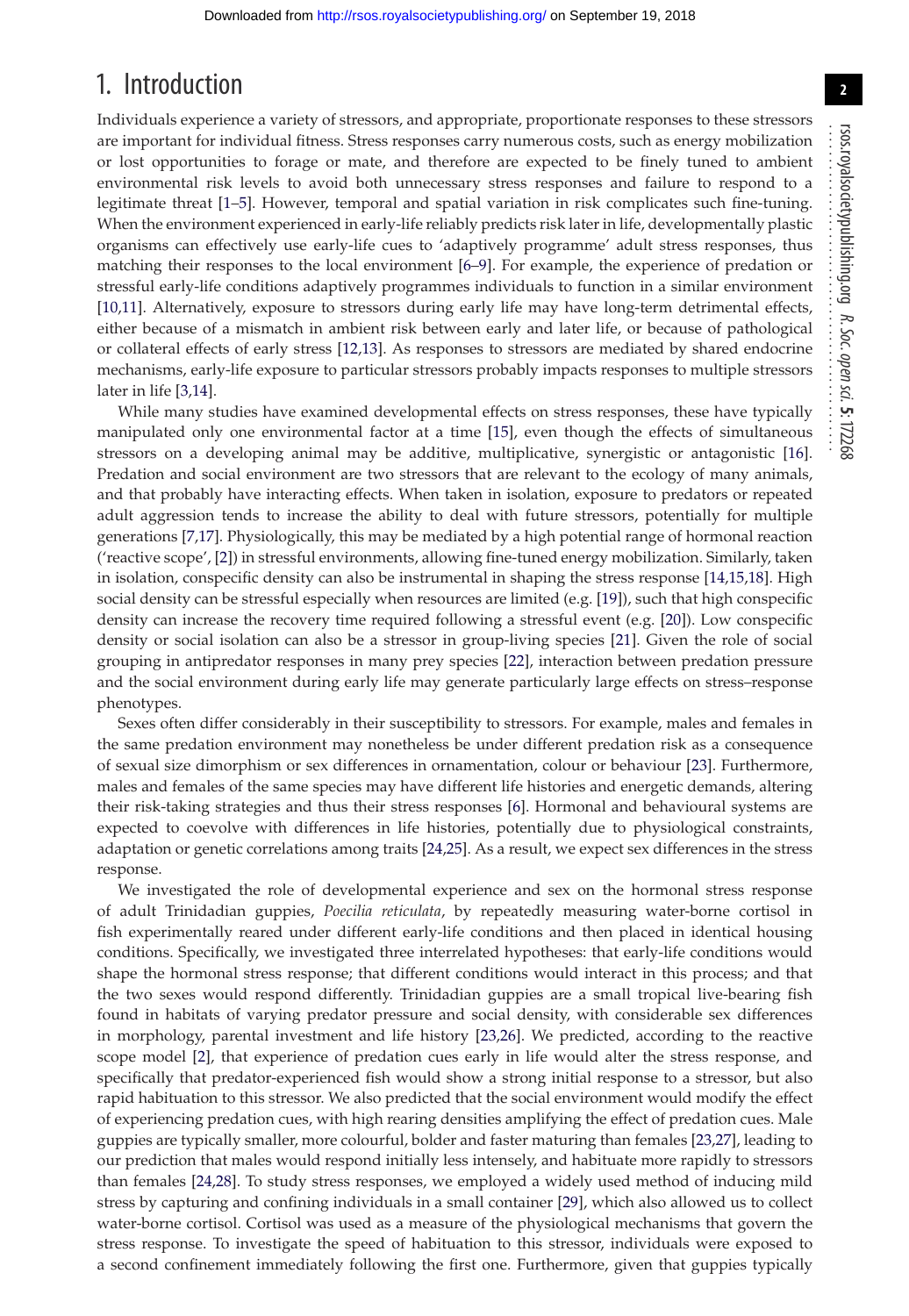## 1. Introduction

Individuals experience a variety of stressors, and appropriate, proportionate responses to these stressors are important for individual fitness. Stress responses carry numerous costs, such as energy mobilization or lost opportunities to forage or mate, and therefore are expected to be finely tuned to ambient environmental risk levels to avoid both unnecessary stress responses and failure to respond to a legitimate threat [\[1](#page-9-0)[–5\]](#page-9-1). However, temporal and spatial variation in risk complicates such fine-tuning. When the environment experienced in early-life reliably predicts risk later in life, developmentally plastic organisms can effectively use early-life cues to 'adaptively programme' adult stress responses, thus matching their responses to the local environment [\[6–](#page-9-2)[9\]](#page-9-3). For example, the experience of predation or stressful early-life conditions adaptively programmes individuals to function in a similar environment [\[10,](#page-9-4)[11\]](#page-9-5). Alternatively, exposure to stressors during early life may have long-term detrimental effects, either because of a mismatch in ambient risk between early and later life, or because of pathological or collateral effects of early stress [\[12,](#page-9-6)[13\]](#page-9-7). As responses to stressors are mediated by shared endocrine mechanisms, early-life exposure to particular stressors probably impacts responses to multiple stressors later in life [\[3](#page-9-8)[,14\]](#page-9-9).

While many studies have examined developmental effects on stress responses, these have typically manipulated only one environmental factor at a time [\[15\]](#page-9-10), even though the effects of simultaneous stressors on a developing animal may be additive, multiplicative, synergistic or antagonistic [\[16\]](#page-9-11). Predation and social environment are two stressors that are relevant to the ecology of many animals, and that probably have interacting effects. When taken in isolation, exposure to predators or repeated adult aggression tends to increase the ability to deal with future stressors, potentially for multiple generations [\[7,](#page-9-12)[17\]](#page-9-13). Physiologically, this may be mediated by a high potential range of hormonal reaction ('reactive scope', [\[2\]](#page-9-14)) in stressful environments, allowing fine-tuned energy mobilization. Similarly, taken in isolation, conspecific density can also be instrumental in shaping the stress response [\[14](#page-9-9)[,15,](#page-9-10)[18\]](#page-10-0). High social density can be stressful especially when resources are limited (e.g. [\[19\]](#page-10-1)), such that high conspecific density can increase the recovery time required following a stressful event (e.g. [\[20\]](#page-10-2)). Low conspecific density or social isolation can also be a stressor in group-living species [\[21\]](#page-10-3). Given the role of social grouping in antipredator responses in many prey species [\[22\]](#page-10-4), interaction between predation pressure and the social environment during early life may generate particularly large effects on stress–response phenotypes.

Sexes often differ considerably in their susceptibility to stressors. For example, males and females in the same predation environment may nonetheless be under different predation risk as a consequence of sexual size dimorphism or sex differences in ornamentation, colour or behaviour [\[23\]](#page-10-5). Furthermore, males and females of the same species may have different life histories and energetic demands, altering their risk-taking strategies and thus their stress responses [\[6\]](#page-9-2). Hormonal and behavioural systems are expected to coevolve with differences in life histories, potentially due to physiological constraints, adaptation or genetic correlations among traits [\[24,](#page-10-6)[25\]](#page-10-7). As a result, we expect sex differences in the stress response.

We investigated the role of developmental experience and sex on the hormonal stress response of adult Trinidadian guppies, *Poecilia reticulata*, by repeatedly measuring water-borne cortisol in fish experimentally reared under different early-life conditions and then placed in identical housing conditions. Specifically, we investigated three interrelated hypotheses: that early-life conditions would shape the hormonal stress response; that different conditions would interact in this process; and that the two sexes would respond differently. Trinidadian guppies are a small tropical live-bearing fish found in habitats of varying predator pressure and social density, with considerable sex differences in morphology, parental investment and life history [\[23](#page-10-5)[,26\]](#page-10-8). We predicted, according to the reactive scope model [\[2\]](#page-9-14), that experience of predation cues early in life would alter the stress response, and specifically that predator-experienced fish would show a strong initial response to a stressor, but also rapid habituation to this stressor. We also predicted that the social environment would modify the effect of experiencing predation cues, with high rearing densities amplifying the effect of predation cues. Male guppies are typically smaller, more colourful, bolder and faster maturing than females [\[23,](#page-10-5)[27\]](#page-10-9), leading to our prediction that males would respond initially less intensely, and habituate more rapidly to stressors than females [\[24,](#page-10-6)[28\]](#page-10-10). To study stress responses, we employed a widely used method of inducing mild stress by capturing and confining individuals in a small container [\[29\]](#page-10-11), which also allowed us to collect water-borne cortisol. Cortisol was used as a measure of the physiological mechanisms that govern the stress response. To investigate the speed of habituation to this stressor, individuals were exposed to a second confinement immediately following the first one. Furthermore, given that guppies typically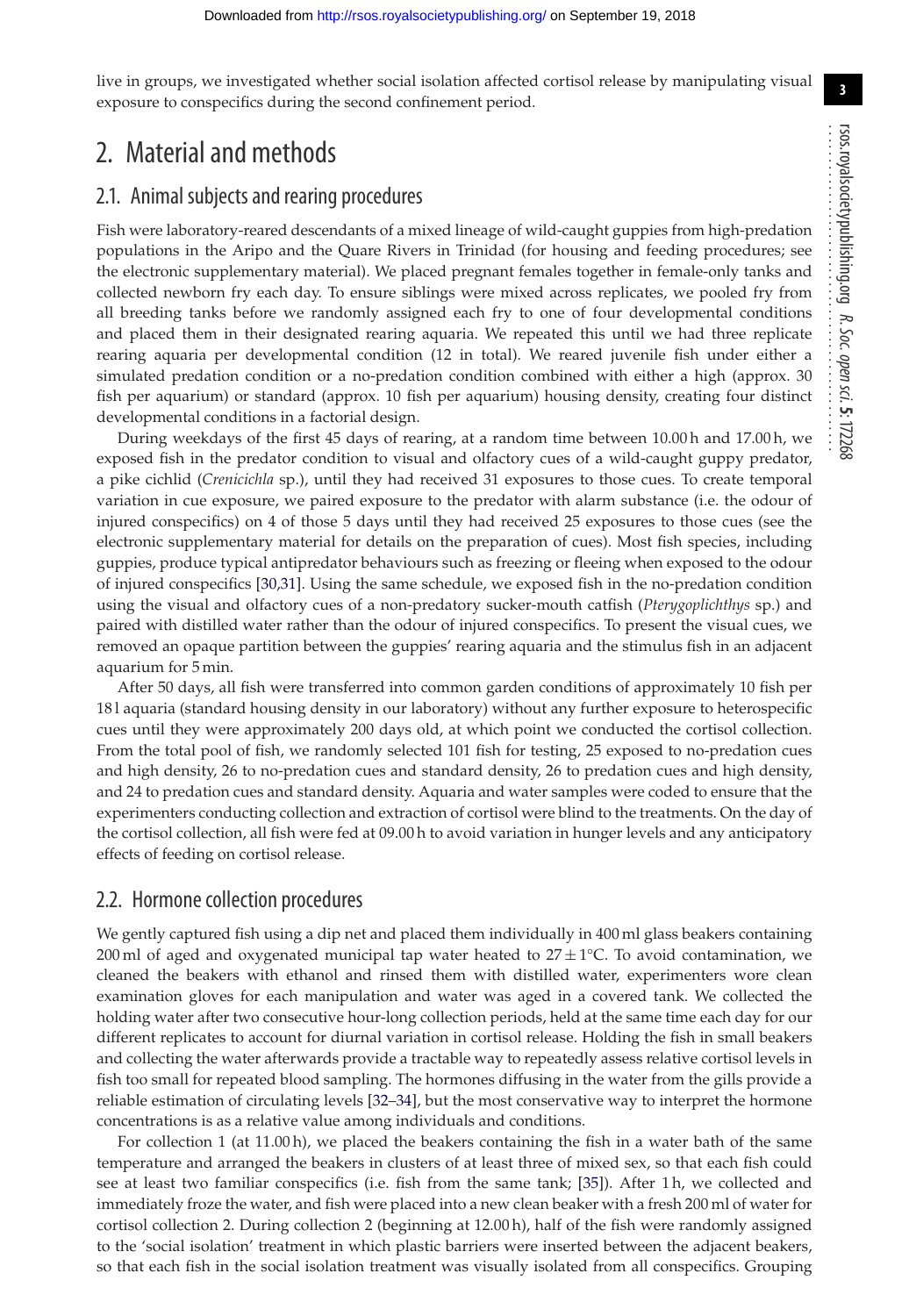**3**

live in groups, we investigated whether social isolation affected cortisol release by manipulating visual exposure to conspecifics during the second confinement period.

## 2. Material and methods

#### 2.1. Animal subjects and rearing procedures

Fish were laboratory-reared descendants of a mixed lineage of wild-caught guppies from high-predation populations in the Aripo and the Quare Rivers in Trinidad (for housing and feeding procedures; see the electronic supplementary material). We placed pregnant females together in female-only tanks and collected newborn fry each day. To ensure siblings were mixed across replicates, we pooled fry from all breeding tanks before we randomly assigned each fry to one of four developmental conditions and placed them in their designated rearing aquaria. We repeated this until we had three replicate rearing aquaria per developmental condition (12 in total). We reared juvenile fish under either a simulated predation condition or a no-predation condition combined with either a high (approx. 30 fish per aquarium) or standard (approx. 10 fish per aquarium) housing density, creating four distinct developmental conditions in a factorial design.

During weekdays of the first 45 days of rearing, at a random time between 10.00 h and 17.00 h, we exposed fish in the predator condition to visual and olfactory cues of a wild-caught guppy predator, a pike cichlid (*Crenicichla* sp.), until they had received 31 exposures to those cues. To create temporal variation in cue exposure, we paired exposure to the predator with alarm substance (i.e. the odour of injured conspecifics) on 4 of those 5 days until they had received 25 exposures to those cues (see the electronic supplementary material for details on the preparation of cues). Most fish species, including guppies, produce typical antipredator behaviours such as freezing or fleeing when exposed to the odour of injured conspecifics [\[30](#page-10-12)[,31\]](#page-10-13). Using the same schedule, we exposed fish in the no-predation condition using the visual and olfactory cues of a non-predatory sucker-mouth catfish (*Pterygoplichthys* sp.) and paired with distilled water rather than the odour of injured conspecifics. To present the visual cues, we removed an opaque partition between the guppies' rearing aquaria and the stimulus fish in an adjacent aquarium for 5 min.

After 50 days, all fish were transferred into common garden conditions of approximately 10 fish per 18 l aquaria (standard housing density in our laboratory) without any further exposure to heterospecific cues until they were approximately 200 days old, at which point we conducted the cortisol collection. From the total pool of fish, we randomly selected 101 fish for testing, 25 exposed to no-predation cues and high density, 26 to no-predation cues and standard density, 26 to predation cues and high density, and 24 to predation cues and standard density. Aquaria and water samples were coded to ensure that the experimenters conducting collection and extraction of cortisol were blind to the treatments. On the day of the cortisol collection, all fish were fed at 09.00 h to avoid variation in hunger levels and any anticipatory effects of feeding on cortisol release.

### 2.2. Hormone collection procedures

We gently captured fish using a dip net and placed them individually in 400 ml glass beakers containing 200 ml of aged and oxygenated municipal tap water heated to  $27 \pm 1^{\circ}$ C. To avoid contamination, we cleaned the beakers with ethanol and rinsed them with distilled water, experimenters wore clean examination gloves for each manipulation and water was aged in a covered tank. We collected the holding water after two consecutive hour-long collection periods, held at the same time each day for our different replicates to account for diurnal variation in cortisol release. Holding the fish in small beakers and collecting the water afterwards provide a tractable way to repeatedly assess relative cortisol levels in fish too small for repeated blood sampling. The hormones diffusing in the water from the gills provide a reliable estimation of circulating levels [\[32–](#page-10-14)[34\]](#page-10-15), but the most conservative way to interpret the hormone concentrations is as a relative value among individuals and conditions.

For collection 1 (at 11.00 h), we placed the beakers containing the fish in a water bath of the same temperature and arranged the beakers in clusters of at least three of mixed sex, so that each fish could see at least two familiar conspecifics (i.e. fish from the same tank; [\[35\]](#page-10-16)). After 1 h, we collected and immediately froze the water, and fish were placed into a new clean beaker with a fresh 200 ml of water for cortisol collection 2. During collection 2 (beginning at 12.00 h), half of the fish were randomly assigned to the 'social isolation' treatment in which plastic barriers were inserted between the adjacent beakers, so that each fish in the social isolation treatment was visually isolated from all conspecifics. Grouping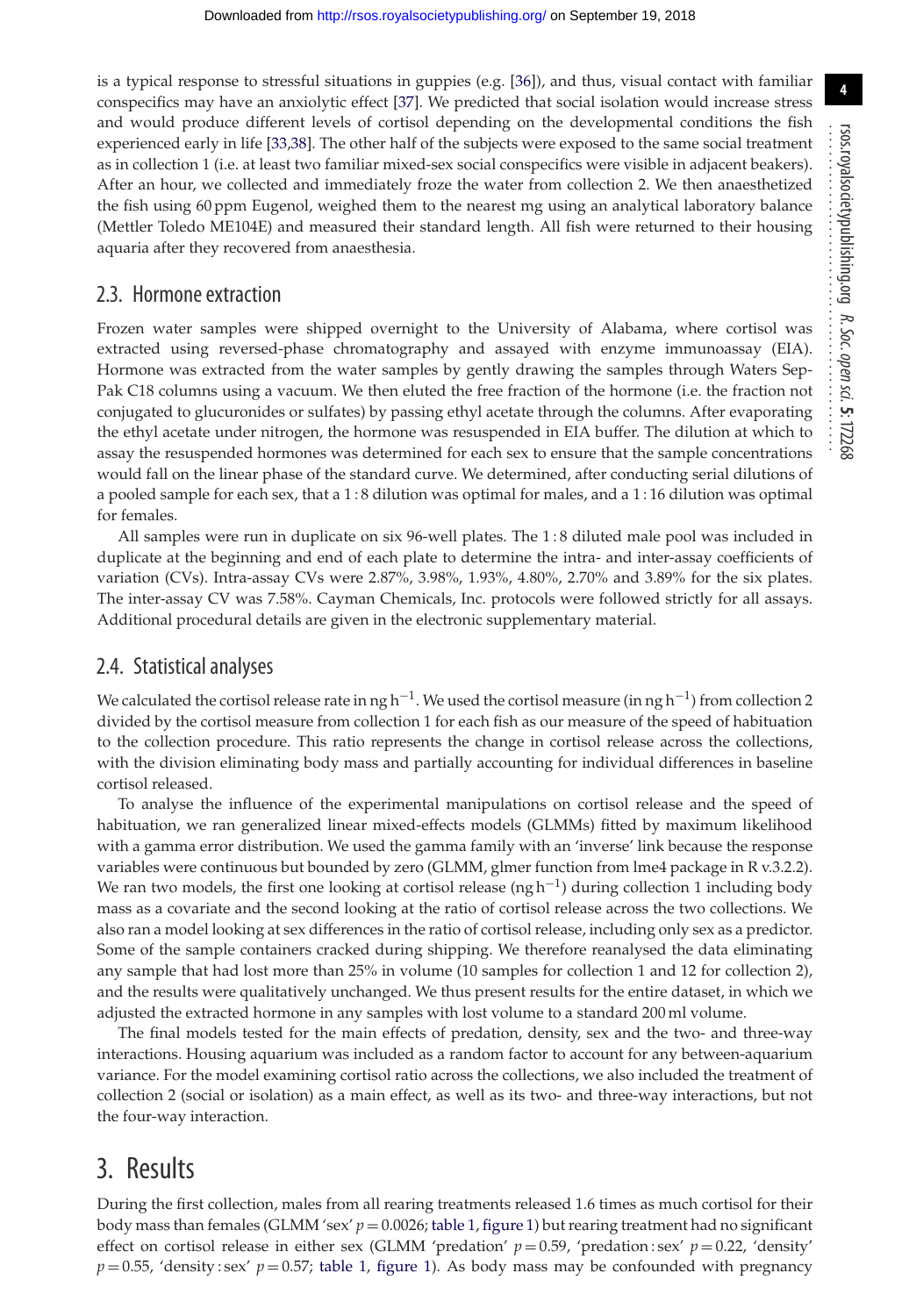is a typical response to stressful situations in guppies (e.g. [\[36\]](#page-10-17)), and thus, visual contact with familiar conspecifics may have an anxiolytic effect [\[37\]](#page-10-18). We predicted that social isolation would increase stress and would produce different levels of cortisol depending on the developmental conditions the fish experienced early in life [\[33](#page-10-19)[,38\]](#page-10-20). The other half of the subjects were exposed to the same social treatment as in collection 1 (i.e. at least two familiar mixed-sex social conspecifics were visible in adjacent beakers). After an hour, we collected and immediately froze the water from collection 2. We then anaesthetized the fish using 60 ppm Eugenol, weighed them to the nearest mg using an analytical laboratory balance (Mettler Toledo ME104E) and measured their standard length. All fish were returned to their housing aquaria after they recovered from anaesthesia.

#### 2.3. Hormone extraction

Frozen water samples were shipped overnight to the University of Alabama, where cortisol was extracted using reversed-phase chromatography and assayed with enzyme immunoassay (EIA). Hormone was extracted from the water samples by gently drawing the samples through Waters Sep-Pak C18 columns using a vacuum. We then eluted the free fraction of the hormone (i.e. the fraction not conjugated to glucuronides or sulfates) by passing ethyl acetate through the columns. After evaporating the ethyl acetate under nitrogen, the hormone was resuspended in EIA buffer. The dilution at which to assay the resuspended hormones was determined for each sex to ensure that the sample concentrations would fall on the linear phase of the standard curve. We determined, after conducting serial dilutions of a pooled sample for each sex, that a 1 : 8 dilution was optimal for males, and a 1 : 16 dilution was optimal for females.

All samples were run in duplicate on six 96-well plates. The 1 : 8 diluted male pool was included in duplicate at the beginning and end of each plate to determine the intra- and inter-assay coefficients of variation (CVs). Intra-assay CVs were 2.87%, 3.98%, 1.93%, 4.80%, 2.70% and 3.89% for the six plates. The inter-assay CV was 7.58%. Cayman Chemicals, Inc. protocols were followed strictly for all assays. Additional procedural details are given in the electronic supplementary material.

### 2.4. Statistical analyses

We calculated the cortisol release rate in ng h<sup>-1</sup>. We used the cortisol measure (in ng h<sup>-1</sup>) from collection 2 divided by the cortisol measure from collection 1 for each fish as our measure of the speed of habituation to the collection procedure. This ratio represents the change in cortisol release across the collections, with the division eliminating body mass and partially accounting for individual differences in baseline cortisol released.

To analyse the influence of the experimental manipulations on cortisol release and the speed of habituation, we ran generalized linear mixed-effects models (GLMMs) fitted by maximum likelihood with a gamma error distribution. We used the gamma family with an 'inverse' link because the response variables were continuous but bounded by zero (GLMM, glmer function from lme4 package in R v.3.2.2). We ran two models, the first one looking at cortisol release (ng h<sup>-1</sup>) during collection 1 including body mass as a covariate and the second looking at the ratio of cortisol release across the two collections. We also ran a model looking at sex differences in the ratio of cortisol release, including only sex as a predictor. Some of the sample containers cracked during shipping. We therefore reanalysed the data eliminating any sample that had lost more than 25% in volume (10 samples for collection 1 and 12 for collection 2), and the results were qualitatively unchanged. We thus present results for the entire dataset, in which we adjusted the extracted hormone in any samples with lost volume to a standard 200 ml volume.

The final models tested for the main effects of predation, density, sex and the two- and three-way interactions. Housing aquarium was included as a random factor to account for any between-aquarium variance. For the model examining cortisol ratio across the collections, we also included the treatment of collection 2 (social or isolation) as a main effect, as well as its two- and three-way interactions, but not the four-way interaction.

## 3. Results

During the first collection, males from all rearing treatments released 1.6 times as much cortisol for their body mass than females (GLMM 'sex' *p* = 0.0026; [table 1,](#page-5-0) [figure 1\)](#page-5-1) but rearing treatment had no significant effect on cortisol release in either sex (GLMM 'predation'  $p = 0.59$ , 'predation: sex'  $p = 0.22$ , 'density'  $p = 0.55$ , 'density : sex'  $p = 0.57$ ; [table 1,](#page-5-0) [figure 1\)](#page-5-1). As body mass may be confounded with pregnancy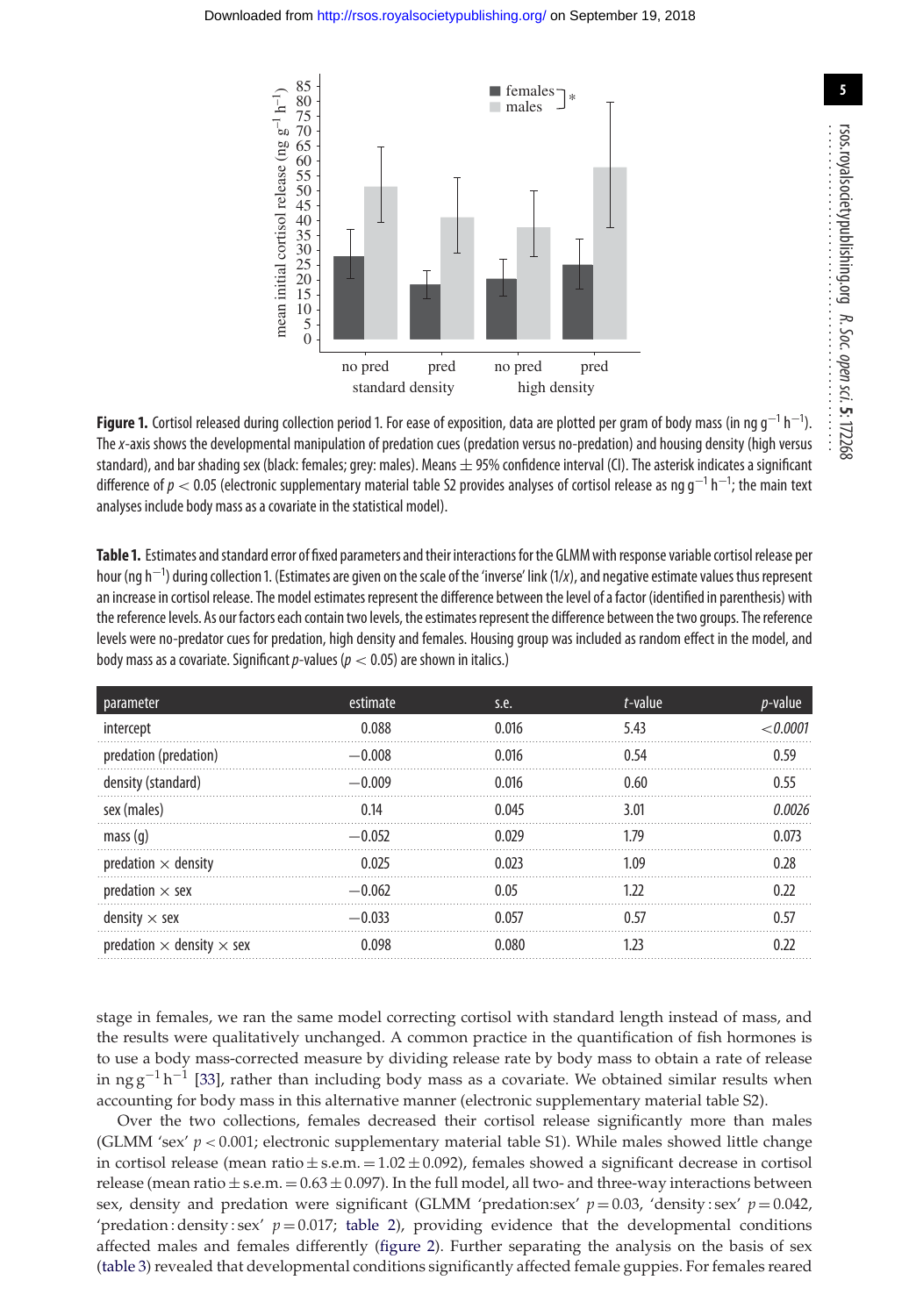<span id="page-5-1"></span>

**Figure 1.** Cortisol released during collection period 1. For ease of exposition, data are plotted per gram of body mass (in ng g<sup>-1</sup> h<sup>-1</sup>). The x-axis shows the developmental manipulation of predation cues (predation versus no-predation) and housing density (high versus standard), and bar shading sex (black: females; grey: males). Means  $\pm$  95% confidence interval (CI). The asterisk indicates a significant difference of  $p < 0.05$  (electronic supplementary material table S2 provides analyses of cortisol release as ng g<sup>−1</sup> h<sup>−1</sup>; the main text analyses include body mass as a covariate in the statistical model).

<span id="page-5-0"></span>Table 1. Estimates and standard error of fixed parameters and their interactions for the GLMM with response variable cortisol release per hour (ng h<sup>−1</sup>) during collection 1. (Estimates are given on the scale of the 'inverse' link (1/*x*), and negative estimate values thus represent an increase in cortisol release. The model estimates represent the difference between the level of a factor (identified in parenthesis) with the reference levels. As our factors each contain two levels, the estimates represent the difference between the two groups. The reference levels were no-predator cues for predation, high density and females. Housing group was included as random effect in the model, and body mass as a covariate. Significant  $p$ -values ( $p < 0.05$ ) are shown in italics.)

| parameter                               | estimate | s.e.  | t-value | <i>p</i> -value |
|-----------------------------------------|----------|-------|---------|-----------------|
| intercept                               | 0.088    | 0.016 | 5.43    | 0001 - >        |
| predation (predation)                   | $-0.008$ | 0.016 | 0.54    | 0.59            |
| density (standard)                      | $-0.009$ | 0.016 | 0.60    | 0.55            |
| sex (males)                             | 0.14     | 0.045 | 3.01    | 0.0026          |
| mass(q)                                 | $-0.052$ | N N79 | 179     | 0.073           |
| predation $\times$ density              | 0.025    | 0 023 | 1 09    | 0.28            |
| predation $\times$ sex                  | $-0.062$ | 0.05  | 1.22    | 0.22            |
| density $\times$ sex                    | $-0.033$ | 0 057 | 0 57    | 0.57            |
| predation $\times$ density $\times$ sex | ) በዓጸ    | በ በጸበ | 1 73    | በ ንን            |

stage in females, we ran the same model correcting cortisol with standard length instead of mass, and the results were qualitatively unchanged. A common practice in the quantification of fish hormones is to use a body mass-corrected measure by dividing release rate by body mass to obtain a rate of release in ng g<sup>-1</sup> h<sup>-1</sup> [\[33\]](#page-10-19), rather than including body mass as a covariate. We obtained similar results when accounting for body mass in this alternative manner (electronic supplementary material table S2).

Over the two collections, females decreased their cortisol release significantly more than males (GLMM 'sex' *p <* 0.001; electronic supplementary material table S1). While males showed little change in cortisol release (mean ratio  $\pm$  s.e.m. = 1.02  $\pm$  0.092), females showed a significant decrease in cortisol release (mean ratio  $\pm$  s.e.m. =  $0.63 \pm 0.097$ ). In the full model, all two- and three-way interactions between sex, density and predation were significant (GLMM 'predation:sex'  $p = 0.03$ , 'density:sex'  $p = 0.042$ , 'predation : density : sex'  $p = 0.017$ ; [table 2\)](#page-6-0), providing evidence that the developmental conditions affected males and females differently [\(figure 2\)](#page-6-1). Further separating the analysis on the basis of sex [\(table 3\)](#page-7-0) revealed that developmental conditions significantly affected female guppies. For females reared

**5**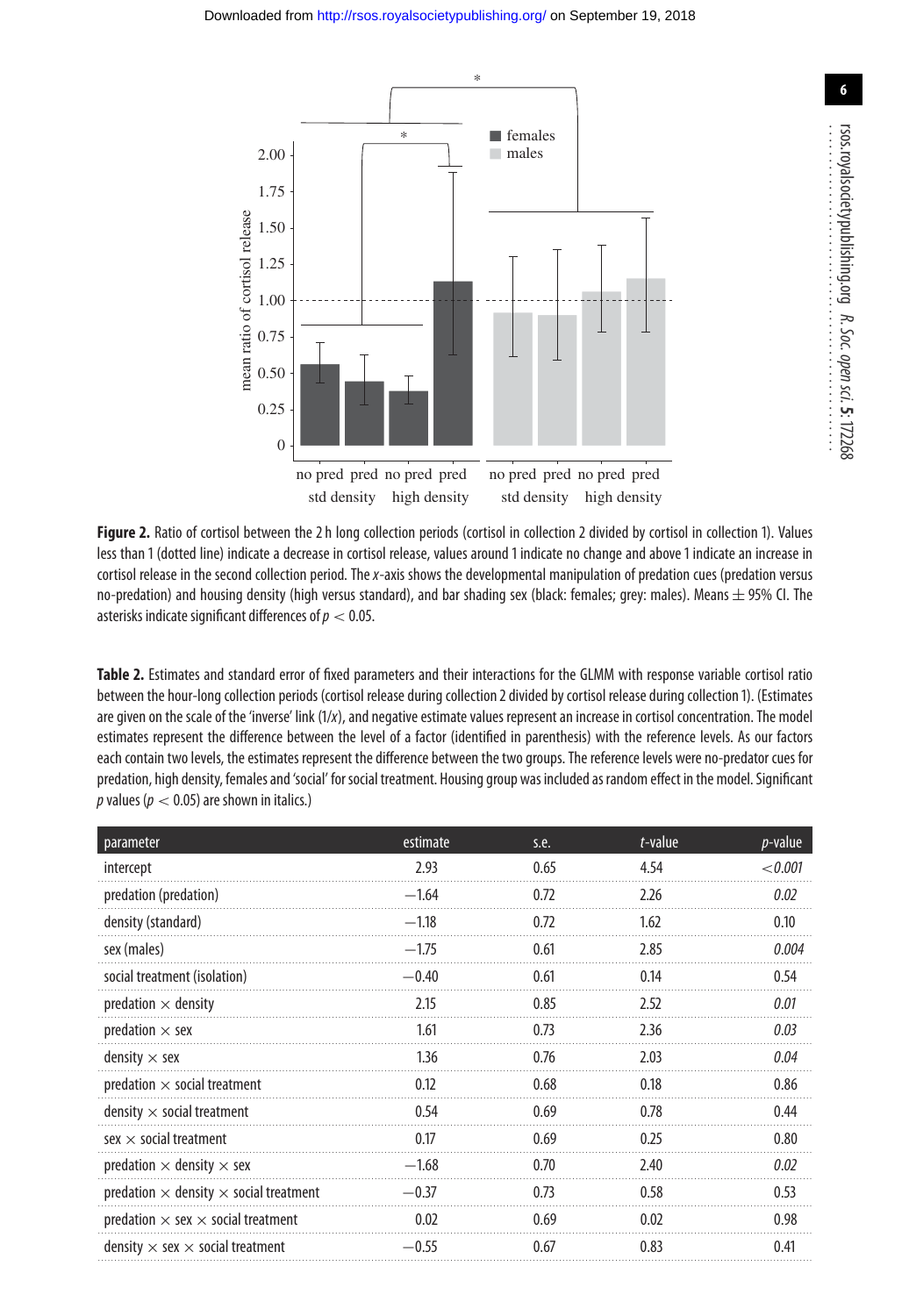<span id="page-6-1"></span>

Figure 2. Ratio of cortisol between the 2 h long collection periods (cortisol in collection 2 divided by cortisol in collection 1). Values less than 1 (dotted line) indicate a decrease in cortisol release, values around 1 indicate no change and above 1 indicate an increase in cortisol release in the second collection period. The x-axis shows the developmental manipulation of predation cues (predation versus no-predation) and housing density (high versus standard), and bar shading sex (black: females; grey: males). Means  $\pm$  95% Cl. The asterisks indicate significant differences of  $p < 0.05$ .

<span id="page-6-0"></span>**Table 2.** Estimates and standard error of fixed parameters and their interactions for the GLMM with response variable cortisol ratio between the hour-long collection periods (cortisol release during collection 2 divided by cortisol release during collection 1). (Estimates are given on the scale of the 'inverse' link (1/x), and negative estimate values represent an increase in cortisol concentration. The model estimates represent the difference between the level of a factor (identified in parenthesis) with the reference levels. As our factors each contain two levels, the estimates represent the difference between the two groups. The reference levels were no-predator cues for predation, high density, females and 'social' for social treatment. Housing group was included as random effect in the model. Significant  $p$  values ( $p < 0.05$ ) are shown in italics.)

| parameter                                            | estimate | s.e. | t-value | $p$ -value |
|------------------------------------------------------|----------|------|---------|------------|
| intercept                                            | 2.93     | 0.65 | 4.54    | < 0.001    |
| predation (predation)                                | $-1.64$  | 0.72 | 2.26    | 0.02       |
| density (standard)                                   | $-1.18$  | 0.72 | 1.62    | 0.10       |
| sex (males)                                          | $-1.75$  | 0.61 | 2.85    | 0.004      |
| social treatment (isolation)                         | $-0.40$  | 0.61 | 0.14    | 0.54       |
| predation $\times$ density                           | 2.15     | 0.85 | 2.52    | 0.01       |
| predation $\times$ sex                               | 1.61     | 0.73 | 2.36    | 0.03       |
| density $\times$ sex                                 | 1.36     | 0.76 | 2.03    | 0.04       |
| predation $\times$ social treatment                  | 0.12     | 0.68 | 0.18    | 0.86       |
| density $\times$ social treatment                    | 0.54     | 0.69 | 0.78    | 0.44       |
| sex $\times$ social treatment                        | 0.17     | 0.69 | 0.25    | 0.80       |
| predation $\times$ density $\times$ sex              | $-1.68$  | 0.70 | 2.40    | 0.02       |
| predation $\times$ density $\times$ social treatment | $-0.37$  | 0.73 | 0.58    | 0.53       |
| predation $\times$ sex $\times$ social treatment     | 0.02     | 0.69 | 0.02    | 0.98       |
| density $\times$ sex $\times$ social treatment       | $-0.55$  | 0.67 | 0.83    | 0.41       |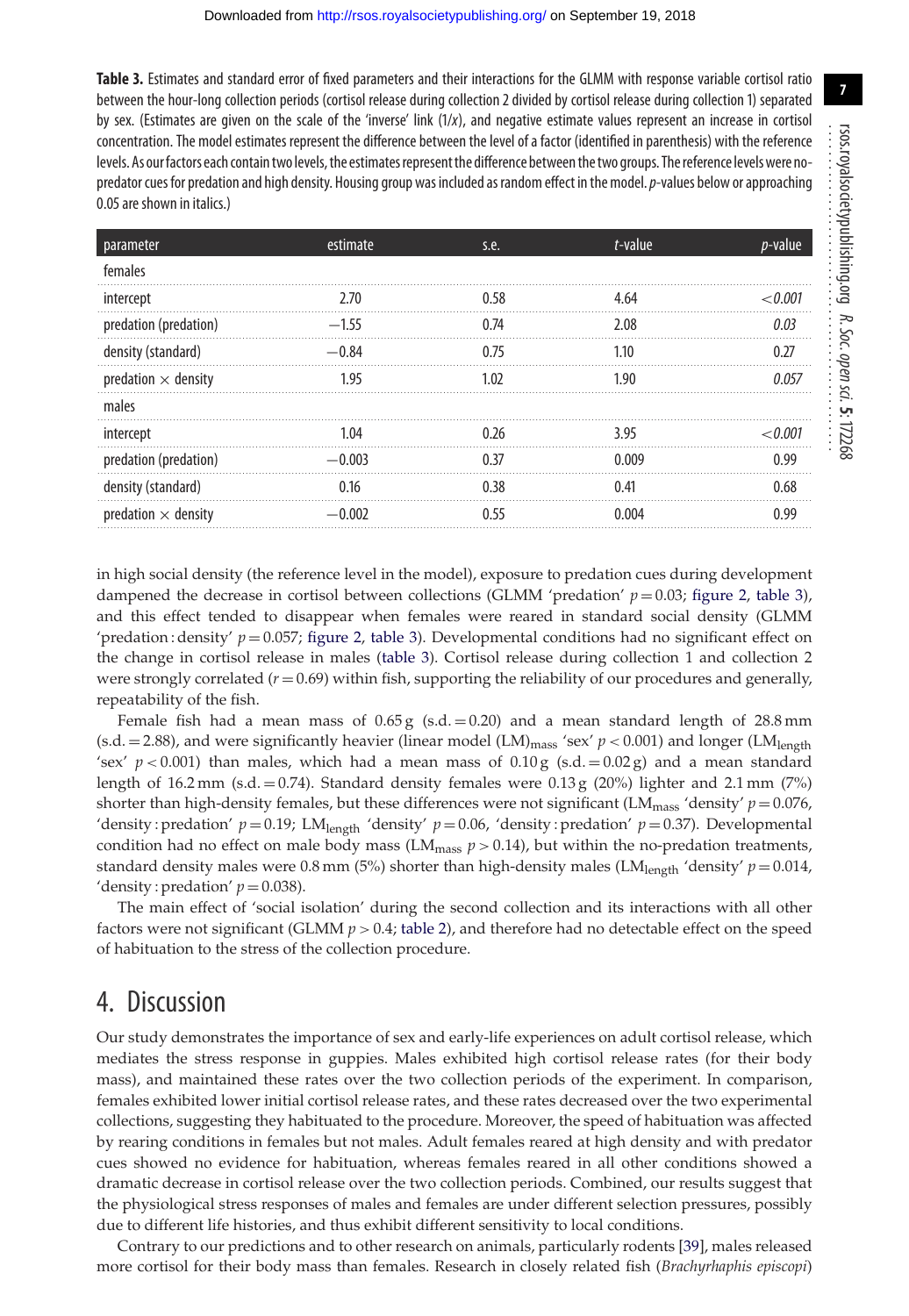<span id="page-7-0"></span>**Table 3.** Estimates and standard error of fixed parameters and their interactions for the GLMM with response variable cortisol ratio between the hour-long collection periods (cortisol release during collection 2 divided by cortisol release during collection 1) separated by sex. (Estimates are given on the scale of the 'inverse' link (1/x), and negative estimate values represent an increase in cortisol concentration. The model estimates represent the difference between the level of a factor (identified in parenthesis) with the reference levels. As our factors each contain two levels, the estimates represent the difference between the two groups. The reference levels were nopredator cues for predation and high density. Housing group was included as random effect in the model. p-values below or approaching 0.05 are shown in italics.)

| parameter                  | estimate | s.e. | t-value | <i>p</i> -value |
|----------------------------|----------|------|---------|-----------------|
| females                    |          |      |         |                 |
| intercept                  | 2.70     | 0.58 | 4.64    | ~0.001          |
| predation (predation)      | $-1.55$  | 0.74 | 2.08    | 0.03            |
| density (standard)         | $-0.84$  | 0.75 | 1.10    | 0.27            |
| predation $\times$ density | 1.95     | 1.02 | 1.90    |                 |
| males                      |          |      |         |                 |
| intercept                  | 1.04     | 0.26 | 3.95    | 001 / ~         |
| predation (predation)      | $-0.003$ | 0.37 | 0.009   | 0 9 9           |
| density (standard)         | 0.16     | 0.38 | 0.41    | 0.68            |
| predation $\times$ density | $-0.002$ | 0.55 | 0.004   | በ 99            |

in high social density (the reference level in the model), exposure to predation cues during development dampened the decrease in cortisol between collections (GLMM 'predation'  $p = 0.03$ ; [figure 2,](#page-6-1) [table 3\)](#page-7-0), and this effect tended to disappear when females were reared in standard social density (GLMM 'predation : density'  $p = 0.057$ ; [figure 2,](#page-6-1) [table 3\)](#page-7-0). Developmental conditions had no significant effect on the change in cortisol release in males [\(table 3\)](#page-7-0). Cortisol release during collection 1 and collection 2 were strongly correlated  $(r = 0.69)$  within fish, supporting the reliability of our procedures and generally, repeatability of the fish.

Female fish had a mean mass of  $0.65 g$  (s.d. = 0.20) and a mean standard length of 28.8 mm (s.d.  $=$  2.88), and were significantly heavier (linear model (LM)<sub>mass</sub> 'sex'  $p < 0.001$ ) and longer (LM<sub>length</sub>) 'sex'  $p < 0.001$ ) than males, which had a mean mass of  $0.10 \text{ g}$  (s.d. =  $0.02 \text{ g}$ ) and a mean standard length of 16.2 mm (s.d.  $= 0.74$ ). Standard density females were 0.13 g (20%) lighter and 2.1 mm (7%) shorter than high-density females, but these differences were not significant (LM<sub>mass</sub> 'density'  $p = 0.076$ , 'density : predation'  $p = 0.19$ ; LM<sub>length</sub> 'density'  $p = 0.06$ , 'density : predation'  $p = 0.37$ ). Developmental condition had no effect on male body mass (LM<sub>mass</sub>  $p > 0.14$ ), but within the no-predation treatments, standard density males were 0.8 mm (5%) shorter than high-density males (LM<sub>length</sub> 'density'  $p = 0.014$ , 'density: predation'  $p = 0.038$ ).

The main effect of 'social isolation' during the second collection and its interactions with all other factors were not significant (GLMM *p >* 0.4; [table 2\)](#page-6-0), and therefore had no detectable effect on the speed of habituation to the stress of the collection procedure.

## 4. Discussion

Our study demonstrates the importance of sex and early-life experiences on adult cortisol release, which mediates the stress response in guppies. Males exhibited high cortisol release rates (for their body mass), and maintained these rates over the two collection periods of the experiment. In comparison, females exhibited lower initial cortisol release rates, and these rates decreased over the two experimental collections, suggesting they habituated to the procedure. Moreover, the speed of habituation was affected by rearing conditions in females but not males. Adult females reared at high density and with predator cues showed no evidence for habituation, whereas females reared in all other conditions showed a dramatic decrease in cortisol release over the two collection periods. Combined, our results suggest that the physiological stress responses of males and females are under different selection pressures, possibly due to different life histories, and thus exhibit different sensitivity to local conditions.

Contrary to our predictions and to other research on animals, particularly rodents [\[39\]](#page-10-21), males released more cortisol for their body mass than females. Research in closely related fish (*Brachyrhaphis episcopi*) **7**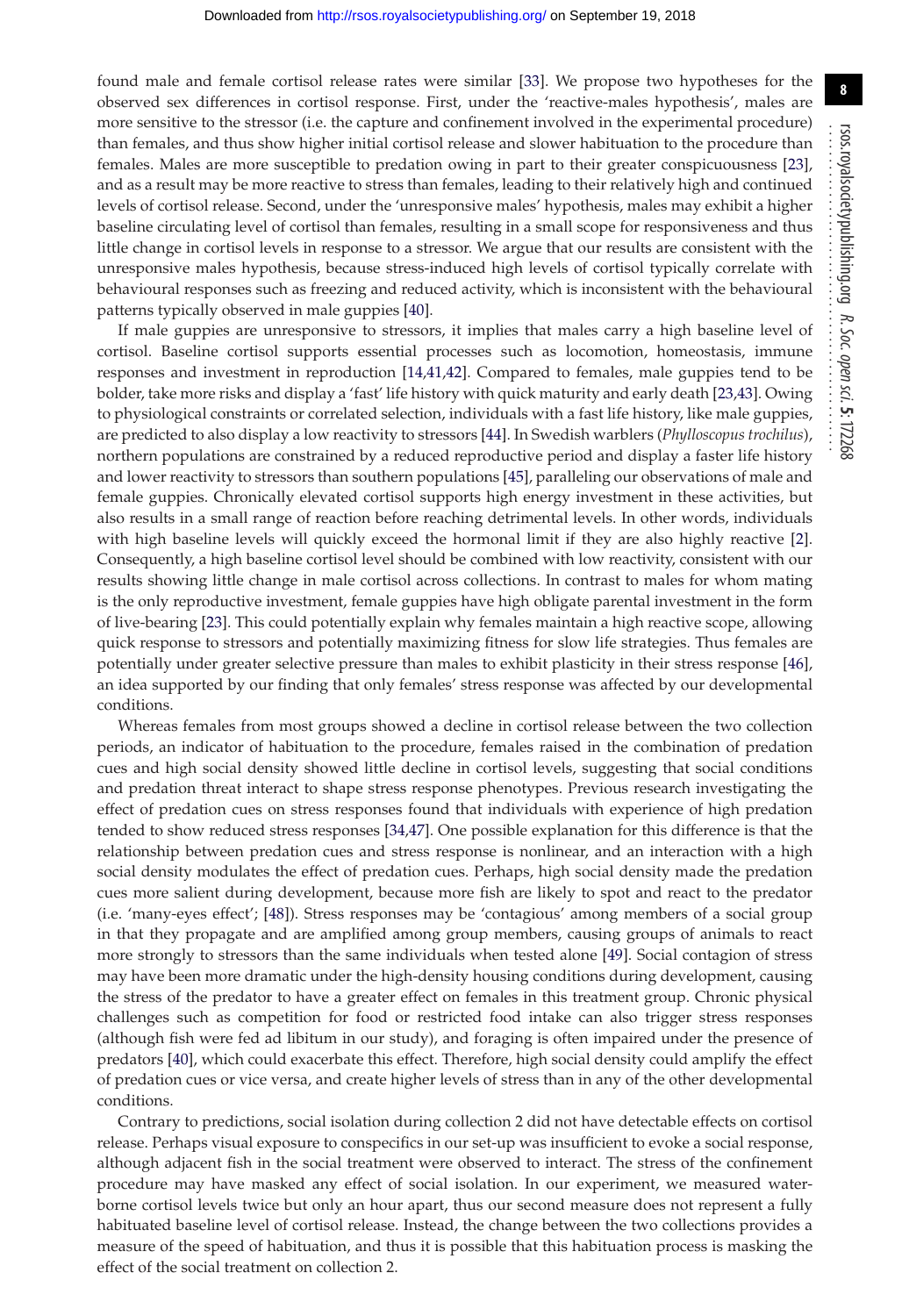found male and female cortisol release rates were similar [\[33\]](#page-10-19). We propose two hypotheses for the observed sex differences in cortisol response. First, under the 'reactive-males hypothesis', males are more sensitive to the stressor (i.e. the capture and confinement involved in the experimental procedure) than females, and thus show higher initial cortisol release and slower habituation to the procedure than females. Males are more susceptible to predation owing in part to their greater conspicuousness [\[23\]](#page-10-5), and as a result may be more reactive to stress than females, leading to their relatively high and continued levels of cortisol release. Second, under the 'unresponsive males' hypothesis, males may exhibit a higher baseline circulating level of cortisol than females, resulting in a small scope for responsiveness and thus little change in cortisol levels in response to a stressor. We argue that our results are consistent with the unresponsive males hypothesis, because stress-induced high levels of cortisol typically correlate with behavioural responses such as freezing and reduced activity, which is inconsistent with the behavioural patterns typically observed in male guppies [\[40\]](#page-10-22).

If male guppies are unresponsive to stressors, it implies that males carry a high baseline level of cortisol. Baseline cortisol supports essential processes such as locomotion, homeostasis, immune responses and investment in reproduction [\[14](#page-9-9)[,41](#page-10-23)[,42\]](#page-10-24). Compared to females, male guppies tend to be bolder, take more risks and display a 'fast' life history with quick maturity and early death [\[23](#page-10-5)[,43\]](#page-10-25). Owing to physiological constraints or correlated selection, individuals with a fast life history, like male guppies, are predicted to also display a low reactivity to stressors [\[44\]](#page-10-26). In Swedish warblers (*Phylloscopus trochilus*), northern populations are constrained by a reduced reproductive period and display a faster life history and lower reactivity to stressors than southern populations [\[45\]](#page-10-27), paralleling our observations of male and female guppies. Chronically elevated cortisol supports high energy investment in these activities, but also results in a small range of reaction before reaching detrimental levels. In other words, individuals with high baseline levels will quickly exceed the hormonal limit if they are also highly reactive [\[2\]](#page-9-14). Consequently, a high baseline cortisol level should be combined with low reactivity, consistent with our results showing little change in male cortisol across collections. In contrast to males for whom mating is the only reproductive investment, female guppies have high obligate parental investment in the form of live-bearing [\[23\]](#page-10-5). This could potentially explain why females maintain a high reactive scope, allowing quick response to stressors and potentially maximizing fitness for slow life strategies. Thus females are potentially under greater selective pressure than males to exhibit plasticity in their stress response [\[46\]](#page-10-28), an idea supported by our finding that only females' stress response was affected by our developmental conditions.

Whereas females from most groups showed a decline in cortisol release between the two collection periods, an indicator of habituation to the procedure, females raised in the combination of predation cues and high social density showed little decline in cortisol levels, suggesting that social conditions and predation threat interact to shape stress response phenotypes. Previous research investigating the effect of predation cues on stress responses found that individuals with experience of high predation tended to show reduced stress responses [\[34,](#page-10-15)[47\]](#page-10-29). One possible explanation for this difference is that the relationship between predation cues and stress response is nonlinear, and an interaction with a high social density modulates the effect of predation cues. Perhaps, high social density made the predation cues more salient during development, because more fish are likely to spot and react to the predator (i.e. 'many-eyes effect'; [\[48\]](#page-10-30)). Stress responses may be 'contagious' among members of a social group in that they propagate and are amplified among group members, causing groups of animals to react more strongly to stressors than the same individuals when tested alone [\[49\]](#page-10-31). Social contagion of stress may have been more dramatic under the high-density housing conditions during development, causing the stress of the predator to have a greater effect on females in this treatment group. Chronic physical challenges such as competition for food or restricted food intake can also trigger stress responses (although fish were fed ad libitum in our study), and foraging is often impaired under the presence of predators [\[40\]](#page-10-22), which could exacerbate this effect. Therefore, high social density could amplify the effect of predation cues or vice versa, and create higher levels of stress than in any of the other developmental conditions.

Contrary to predictions, social isolation during collection 2 did not have detectable effects on cortisol release. Perhaps visual exposure to conspecifics in our set-up was insufficient to evoke a social response, although adjacent fish in the social treatment were observed to interact. The stress of the confinement procedure may have masked any effect of social isolation. In our experiment, we measured waterborne cortisol levels twice but only an hour apart, thus our second measure does not represent a fully habituated baseline level of cortisol release. Instead, the change between the two collections provides a measure of the speed of habituation, and thus it is possible that this habituation process is masking the effect of the social treatment on collection 2.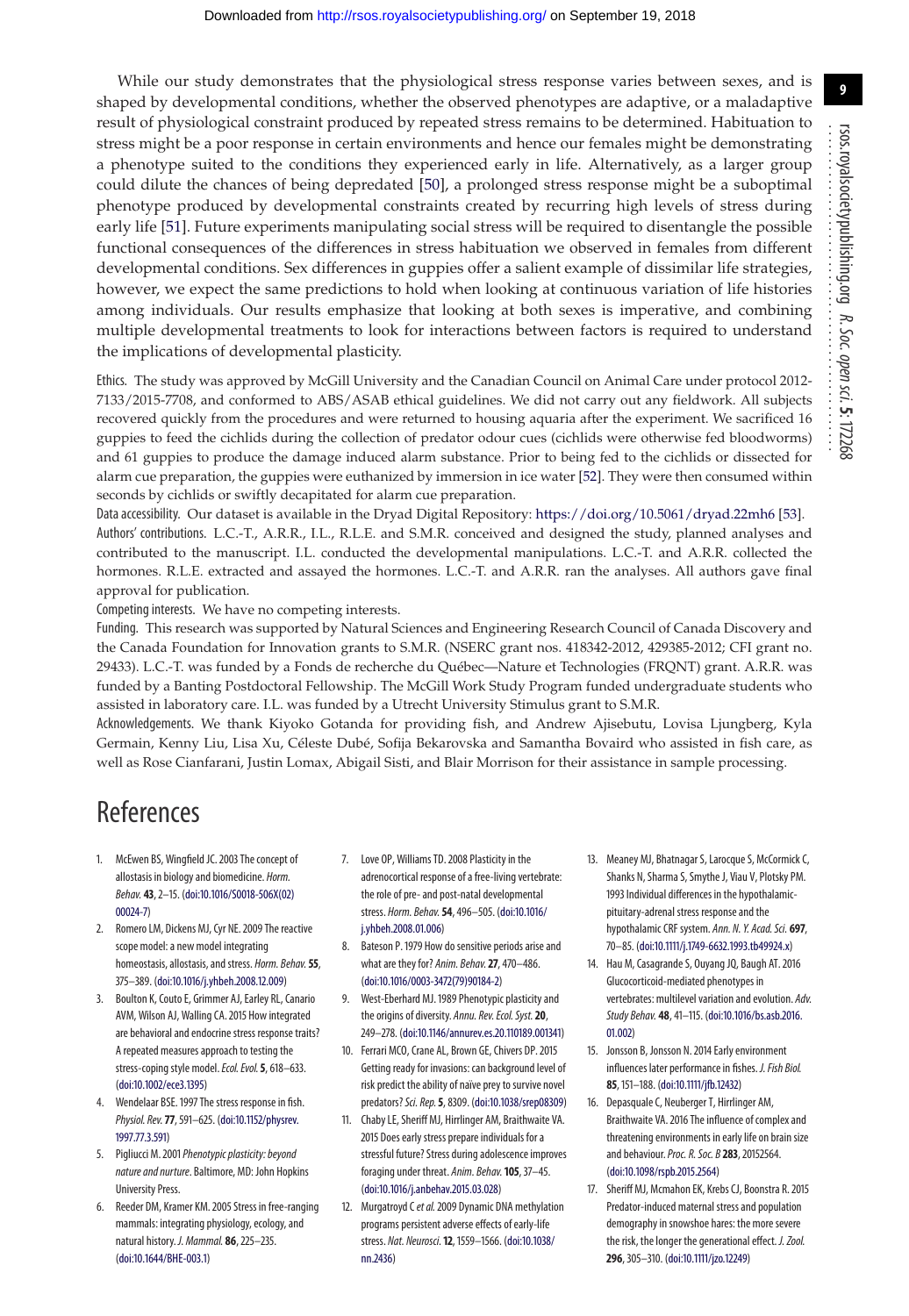While our study demonstrates that the physiological stress response varies between sexes, and is shaped by developmental conditions, whether the observed phenotypes are adaptive, or a maladaptive result of physiological constraint produced by repeated stress remains to be determined. Habituation to stress might be a poor response in certain environments and hence our females might be demonstrating a phenotype suited to the conditions they experienced early in life. Alternatively, as a larger group could dilute the chances of being depredated [\[50\]](#page-10-32), a prolonged stress response might be a suboptimal phenotype produced by developmental constraints created by recurring high levels of stress during early life [\[51\]](#page-10-33). Future experiments manipulating social stress will be required to disentangle the possible functional consequences of the differences in stress habituation we observed in females from different developmental conditions. Sex differences in guppies offer a salient example of dissimilar life strategies, however, we expect the same predictions to hold when looking at continuous variation of life histories among individuals. Our results emphasize that looking at both sexes is imperative, and combining multiple developmental treatments to look for interactions between factors is required to understand the implications of developmental plasticity.

Ethics. The study was approved by McGill University and the Canadian Council on Animal Care under protocol 2012- 7133/2015-7708, and conformed to ABS/ASAB ethical guidelines. We did not carry out any fieldwork. All subjects recovered quickly from the procedures and were returned to housing aquaria after the experiment. We sacrificed 16 guppies to feed the cichlids during the collection of predator odour cues (cichlids were otherwise fed bloodworms) and 61 guppies to produce the damage induced alarm substance. Prior to being fed to the cichlids or dissected for alarm cue preparation, the guppies were euthanized by immersion in ice water [\[52\]](#page-10-34). They were then consumed within seconds by cichlids or swiftly decapitated for alarm cue preparation.

Data accessibility. Our dataset is available in the Dryad Digital Repository: <https://doi.org/10.5061/dryad.22mh6> [\[53\]](#page-10-35). Authors' contributions. L.C.-T., A.R.R., I.L., R.L.E. and S.M.R. conceived and designed the study, planned analyses and contributed to the manuscript. I.L. conducted the developmental manipulations. L.C.-T. and A.R.R. collected the hormones. R.L.E. extracted and assayed the hormones. L.C.-T. and A.R.R. ran the analyses. All authors gave final approval for publication.

Competing interests. We have no competing interests.

Funding. This research was supported by Natural Sciences and Engineering Research Council of Canada Discovery and the Canada Foundation for Innovation grants to S.M.R. (NSERC grant nos. 418342-2012, 429385-2012; CFI grant no. 29433). L.C.-T. was funded by a Fonds de recherche du Québec—Nature et Technologies (FRQNT) grant. A.R.R. was funded by a Banting Postdoctoral Fellowship. The McGill Work Study Program funded undergraduate students who assisted in laboratory care. I.L. was funded by a Utrecht University Stimulus grant to S.M.R.

Acknowledgements. We thank Kiyoko Gotanda for providing fish, and Andrew Ajisebutu, Lovisa Ljungberg, Kyla Germain, Kenny Liu, Lisa Xu, Céleste Dubé, Sofija Bekarovska and Samantha Bovaird who assisted in fish care, as well as Rose Cianfarani, Justin Lomax, Abigail Sisti, and Blair Morrison for their assistance in sample processing.

# References

- <span id="page-9-0"></span>1. McEwen BS, Wingfield JC. 2003 The concept of allostasis in biology and biomedicine. Horm. Behav. **43**, 2–15. [\(doi:10.1016/S0018-506X\(02\)](http://dx.doi.org/10.1016/S0018-506X(02)00024-7) [00024-7\)](http://dx.doi.org/10.1016/S0018-506X(02)00024-7)
- <span id="page-9-14"></span>2. Romero LM, Dickens MJ, Cyr NE. 2009 The reactive scope model: a new model integrating homeostasis, allostasis, and stress. Horm. Behav.**55**, 375–389. [\(doi:10.1016/j.yhbeh.2008.12.009\)](http://dx.doi.org/10.1016/j.yhbeh.2008.12.009)
- <span id="page-9-8"></span>3. Boulton K, Couto E, Grimmer AJ, Earley RL, Canario AVM, Wilson AJ, Walling CA. 2015 How integrated are behavioral and endocrine stress response traits? A repeated measures approach to testing the stress-coping style model. Ecol. Evol. 5, 618-633. [\(doi:10.1002/ece3.1395\)](http://dx.doi.org/10.1002/ece3.1395)
- 4. Wendelaar BSE. 1997 The stress response in fish. Physiol. Rev.**77**, 591–625. [\(doi:10.1152/physrev.](http://dx.doi.org/10.1152/physrev.1997.77.3.591) [1997.77.3.591\)](http://dx.doi.org/10.1152/physrev.1997.77.3.591)
- <span id="page-9-1"></span>5. Pigliucci M. 2001 Phenotypic plasticity: beyond nature and nurture. Baltimore, MD: John Hopkins University Press.
- <span id="page-9-2"></span>6. Reeder DM, Kramer KM. 2005 Stress in free-ranging mammals: integrating physiology, ecology, and natural history. J. Mammal. **86**, 225–235. [\(doi:10.1644/BHE-003.1\)](http://dx.doi.org/10.1644/BHE-003.1)
- <span id="page-9-12"></span>7. Love OP, Williams TD. 2008 Plasticity in the adrenocortical response of a free-living vertebrate: the role of pre- and post-natal developmental stress. Horm. Behav.**54**, 496–505. [\(doi:10.1016/](http://dx.doi.org/10.1016/j.yhbeh.2008.01.006) [j.yhbeh.2008.01.006\)](http://dx.doi.org/10.1016/j.yhbeh.2008.01.006)
- 8. Bateson P. 1979 How do sensitive periods arise and what are they for? Anim. Behav.**27**, 470–486. [\(doi:10.1016/0003-3472\(79\)90184-2\)](http://dx.doi.org/10.1016/0003-3472(79)90184-2)
- <span id="page-9-3"></span>9. West-Eberhard MJ. 1989 Phenotypic plasticity and the origins of diversity. Annu. Rev. Ecol. Syst.**20**, 249–278. [\(doi:10.1146/annurev.es.20.110189.001341\)](http://dx.doi.org/10.1146/annurev.es.20.110189.001341)
- <span id="page-9-4"></span>10. Ferrari MCO, Crane AL, Brown GE, Chivers DP. 2015 Getting ready for invasions: can background level of risk predict the ability of naïve prey to survive novel predators?Sci. Rep.**5**, 8309. [\(doi:10.1038/srep08309\)](http://dx.doi.org/10.1038/srep08309)
- <span id="page-9-5"></span>11. Chaby LE, Sheriff MJ, Hirrlinger AM, Braithwaite VA. 2015 Does early stress prepare individuals for a stressful future? Stress during adolescence improves foraging under threat. Anim. Behav. **105**, 37–45. [\(doi:10.1016/j.anbehav.2015.03.028\)](http://dx.doi.org/10.1016/j.anbehav.2015.03.028)
- <span id="page-9-6"></span>12. Murgatroyd C et al. 2009 Dynamic DNA methylation programs persistent adverse effects of early-life stress. Nat. Neurosci.**12**, 1559–1566. [\(doi:10.1038/](http://dx.doi.org/10.1038/nn.2436) [nn.2436\)](http://dx.doi.org/10.1038/nn.2436)
- <span id="page-9-7"></span>13. Meaney MJ, Bhatnagar S, Larocque S, McCormick C, Shanks N, Sharma S, Smythe J, Viau V, Plotsky PM. 1993 Individual differences in the hypothalamicpituitary-adrenal stress response and the hypothalamic CRF system. Ann. N. Y. Acad. Sci. **697**, 70–85. [\(doi:10.1111/j.1749-6632.1993.tb49924.x\)](http://dx.doi.org/10.1111/j.1749-6632.1993.tb49924.x)
- <span id="page-9-9"></span>14. Hau M, Casagrande S, Ouyang JQ, Baugh AT. 2016 Glucocorticoid-mediated phenotypes in vertebrates: multilevel variation and evolution. Adv. Study Behav. **48**, 41–115. [\(doi:10.1016/bs.asb.2016.](http://dx.doi.org/10.1016/bs.asb.2016.01.002) [01.002\)](http://dx.doi.org/10.1016/bs.asb.2016.01.002)
- <span id="page-9-10"></span>15. Jonsson B, Jonsson N. 2014 Early environment influences later performance in fishes. J. Fish Biol. **85**, 151–188. [\(doi:10.1111/jfb.12432\)](http://dx.doi.org/10.1111/jfb.12432)
- <span id="page-9-11"></span>16. Depasquale C, Neuberger T, Hirrlinger AM, Braithwaite VA. 2016 The influence of complex and threatening environments in early life on brain size and behaviour.Proc. R. Soc. B **283**, 20152564. [\(doi:10.1098/rspb.2015.2564\)](http://dx.doi.org/10.1098/rspb.2015.2564)
- <span id="page-9-13"></span>17. Sheriff MJ, Mcmahon EK, Krebs CJ, Boonstra R. 2015 Predator-induced maternal stress and population demography in snowshoe hares: the more severe the risk, the longer the generational effect. J. Zool. **296**, 305–310. [\(doi:10.1111/jzo.12249\)](http://dx.doi.org/10.1111/jzo.12249)